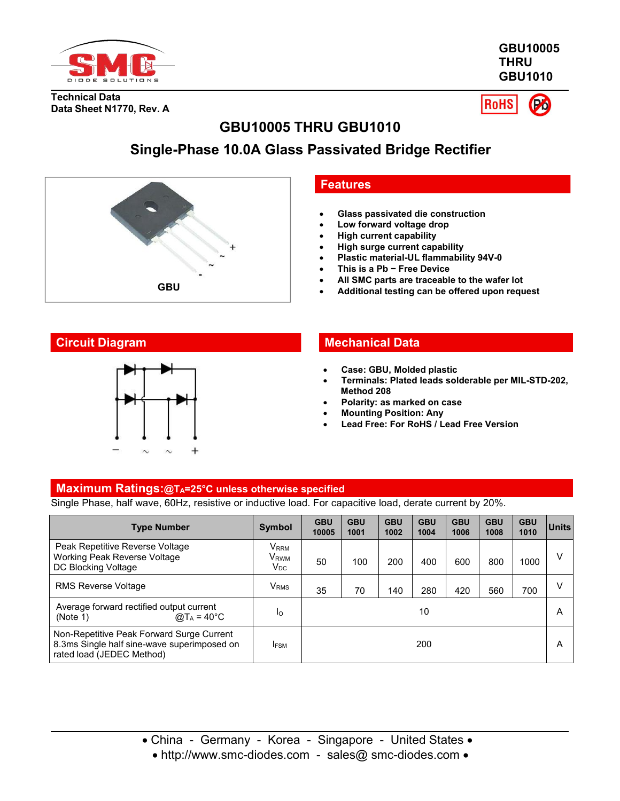

**GBU10005 THRU GBU1010**

**Technical Data Data Sheet N1770, Rev. A**

**RoHS** 

# **GBU10005 THRU GBU1010**

# **Single-Phase 10.0A Glass Passivated Bridge Rectifier**



### **Features**

- **Glass passivated die construction**
- **Low forward voltage drop**
- **High current capability**
- **High surge current capability**
- **Plastic material-UL flammability 94V-0**
- **This is a Pb − Free Device**
- **All SMC parts are traceable to the wafer lot**
- **GBU Additional testing can be offered upon request**



## **Circuit Diagram Mechanical Data**

- **Case: GBU, Molded plastic**
- **Terminals: Plated leads solderable per MIL-STD-202, Method 208**
- **Polarity: as marked on case**
- **Mounting Position: Any**
- **Lead Free: For RoHS / Lead Free Version**

#### **Maximum Ratings:@TA=25°C unless otherwise specified**

Single Phase, half wave, 60Hz, resistive or inductive load. For capacitive load, derate current by 20%.

| <b>Type Number</b>                                                                                                    | <b>Symbol</b>                                                               | <b>GBU</b><br>10005 | <b>GBU</b><br>1001 | <b>GBU</b><br>1002 | <b>GBU</b><br>1004 | <b>GBU</b><br>1006 | <b>GBU</b><br>1008 | <b>GBU</b><br>1010 | Units  |
|-----------------------------------------------------------------------------------------------------------------------|-----------------------------------------------------------------------------|---------------------|--------------------|--------------------|--------------------|--------------------|--------------------|--------------------|--------|
| Peak Repetitive Reverse Voltage<br>Working Peak Reverse Voltage<br>DC Blocking Voltage                                | $\mathsf{V}_{\mathsf{RRM}}$<br>V <sub>RWM</sub><br>$\mathsf{V}_\mathsf{DC}$ | 50                  | 100                | 200                | 400                | 600                | 800                | 1000               | V      |
| <b>RMS Reverse Voltage</b>                                                                                            | V <sub>RMS</sub>                                                            | 35                  | 70                 | 140                | 280                | 420                | 560                | 700                | $\vee$ |
| Average forward rectified output current<br>@T <sub>A</sub> = 40°C<br>(Note 1)                                        | Ιo                                                                          | 10                  |                    |                    |                    |                    |                    | A                  |        |
| Non-Repetitive Peak Forward Surge Current<br>8.3ms Single half sine-wave superimposed on<br>rated load (JEDEC Method) | <b>IFSM</b>                                                                 |                     |                    |                    | 200                |                    |                    |                    | A      |

• http://www.smc-diodes.com - sales@ smc-diodes.com •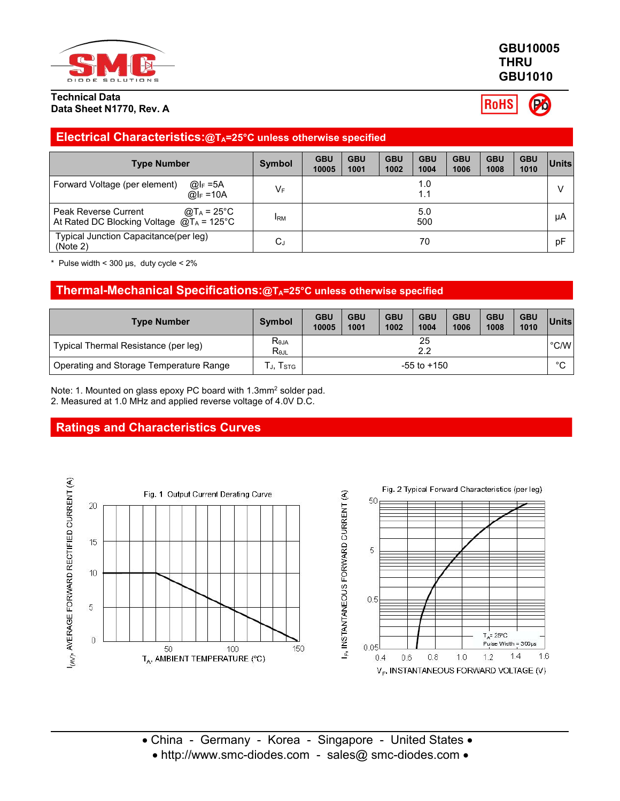

### **GBU10005 THRU GBU1010**

**RoHS** 

## **Electrical Characteristics:@TA=25°C unless otherwise specified**

| <b>Type Number</b>                                                                          | Symbol     | <b>GBU</b><br>10005 | <b>GBU</b><br>1001 | <b>GBU</b><br>1002 | <b>GBU</b><br>1004 | <b>GBU</b><br>1006 | <b>GBU</b><br>1008 | <b>GBU</b><br>1010 | ∣Units |
|---------------------------------------------------------------------------------------------|------------|---------------------|--------------------|--------------------|--------------------|--------------------|--------------------|--------------------|--------|
| Forward Voltage (per element)<br>@l <sub>F</sub> =5A<br>$@I_F = 10A$                        | $V_F$      |                     |                    |                    | 1.0<br>1.1         |                    |                    |                    |        |
| @T $_A$ = 25°C<br>Peak Reverse Current<br>At Rated DC Blocking Voltage $@T_A = 125^\circ C$ | <b>IRM</b> | 5.0<br>500          |                    |                    |                    |                    | μA                 |                    |        |
| Typical Junction Capacitance(per leg)<br>(Note 2)                                           | $C_{J}$    |                     |                    |                    | 70                 |                    |                    |                    | pF     |

Pulse width <  $300 \,\mu s$ , duty cycle <  $2\%$ 

### **Thermal-Mechanical Specifications:@TA=25°C unless otherwise specified**

| <b>Type Number</b>                      | <b>Symbol</b>                                       | <b>GBU</b><br>10005 | <b>GBU</b><br>1001 | <b>GBU</b><br>1002 | <b>GBU</b><br>1004 | <b>GBU</b><br>1006 | <b>GBU</b><br>1008 | <b>GBU</b><br>1010 | Units |
|-----------------------------------------|-----------------------------------------------------|---------------------|--------------------|--------------------|--------------------|--------------------|--------------------|--------------------|-------|
| Typical Thermal Resistance (per leg)    | $R_{\theta JA}$<br>$\mathsf{R}_{\theta\mathsf{JL}}$ | 25<br>າາ<br>L.L     |                    |                    |                    |                    |                    |                    | °C/W  |
| Operating and Storage Temperature Range | I STG                                               | $-55$ to $+150$     |                    |                    |                    |                    |                    | $\circ$<br>ັ       |       |

Note: 1. Mounted on glass epoxy PC board with 1.3mm<sup>2</sup> solder pad. 2. Measured at 1.0 MHz and applied reverse voltage of 4.0V D.C.

## **Ratings and Characteristics Curves**



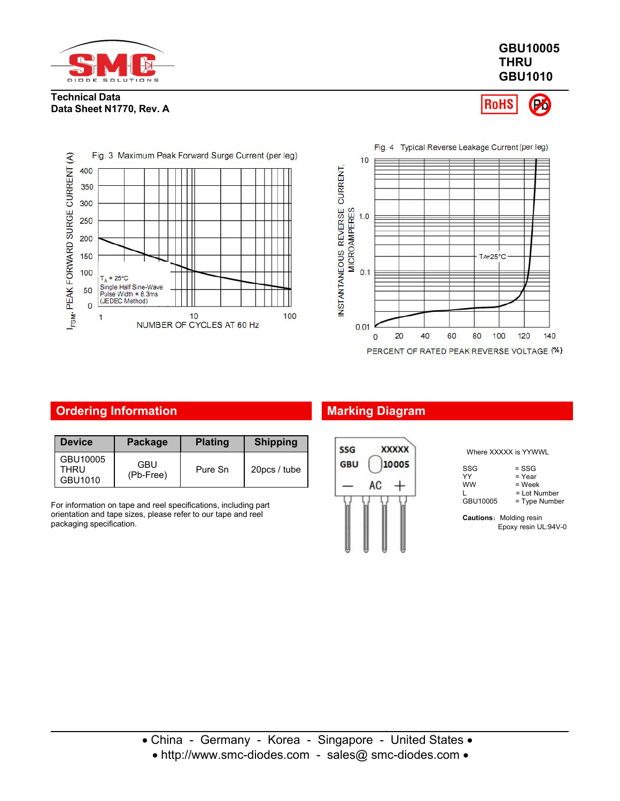

### **GBU10005 THRU GBU1010**







## **Ordering Information Marking Diagram**

| <b>Device</b>               | Package          | <b>Plating</b> | <b>Shipping</b> | <b>XXXXX</b><br>SSG |
|-----------------------------|------------------|----------------|-----------------|---------------------|
| GBU10005<br>THRU<br>GBU1010 | GBU<br>(Pb-Free) | Pure Sn        | 20pcs / tube    | <b>GBU</b><br>10005 |

For information on tape and reel specifications, including part orientation and tape sizes, please refer to our tape and reel packaging specification.



Where XXXXX is YYWWL

| WHELE AAAAA IS IT WWW. |                 |
|------------------------|-----------------|
| SSG                    | $=$ SSG         |
| YY                     | $=$ Year        |
| <b>WW</b>              | = Week          |
|                        | = Lot Number    |
| GBU10005               | $=$ Type Number |
|                        |                 |

**Cautions:** Molding resin

Epoxy resin UL:94V-0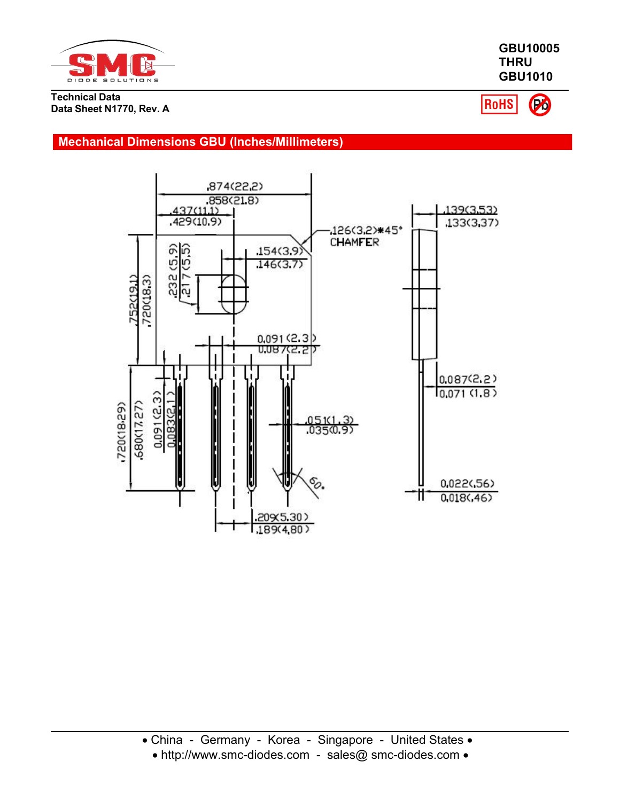

Po **RoHS** 

**GBU10005 THRU GBU1010**

## **Mechanical Dimensions GBU (Inches/Millimeters)**